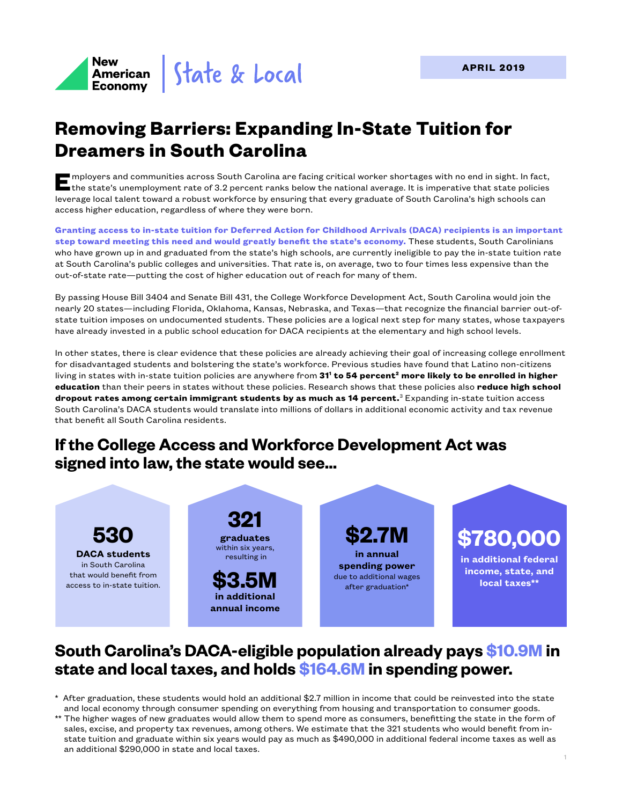

# **Removing Barriers: Expanding In-State Tuition for Dreamers in South Carolina**

mployers and communities across South Carolina are facing critical worker shortages with no end in sight. In fact,<br>the state's unemployment rate of 3.2 percent ranks below the national average. It is imperative that state leverage local talent toward a robust workforce by ensuring that every graduate of South Carolina's high schools can access higher education, regardless of where they were born.

**Granting access to in-state tuition for Deferred Action for Childhood Arrivals (DACA) recipients is an important step toward meeting this need and would greatly benefit the state's economy.** These students, South Carolinians who have grown up in and graduated from the state's high schools, are currently ineligible to pay the in-state tuition rate at South Carolina's public colleges and universities. That rate is, on average, two to four times less expensive than the out-of-state rate—putting the cost of higher education out of reach for many of them.

By passing House Bill 3404 and Senate Bill 431, the College Workforce Development Act, South Carolina would join the nearly 20 states—including Florida, Oklahoma, Kansas, Nebraska, and Texas—that recognize the financial barrier out-ofstate tuition imposes on undocumented students. These policies are a logical next step for many states, whose taxpayers have already invested in a public school education for DACA recipients at the elementary and high school levels.

In other states, there is clear evidence that these policies are already achieving their goal of increasing college enrollment for disadvantaged students and bolstering the state's workforce. Previous studies have found that Latino non-citizens living in states with in-state tuition policies are anywhere from **311 to 54 percent2 more likely to be enrolled in higher education** than their peers in states without these policies. Research shows that these policies also **reduce high school dropout rates among certain immigrant students by as much as 14 percent.**<sup>3</sup> Expanding in-state tuition access South Carolina's DACA students would translate into millions of dollars in additional economic activity and tax revenue that benefit all South Carolina residents.

# **If the College Access and Workforce Development Act was signed into law, the state would see...**



# **South Carolina's DACA-eligible population already pays \$10.9M in state and local taxes, and holds \$164.6M in spending power.**

- \* After graduation, these students would hold an additional \$2.7 million in income that could be reinvested into the state and local economy through consumer spending on everything from housing and transportation to consumer goods.
- \*\* The higher wages of new graduates would allow them to spend more as consumers, benefitting the state in the form of sales, excise, and property tax revenues, among others. We estimate that the 321 students who would benefit from instate tuition and graduate within six years would pay as much as \$490,000 in additional federal income taxes as well as an additional \$290,000 in state and local taxes.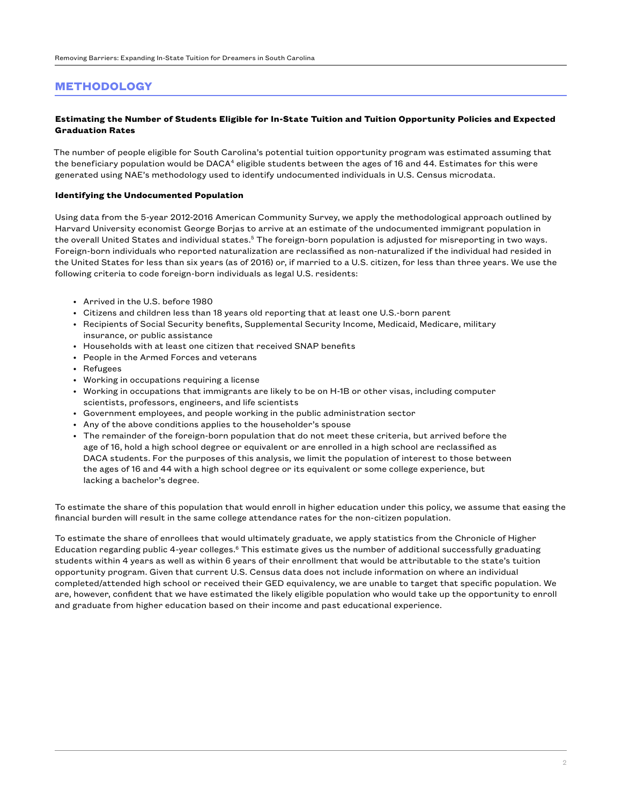## **METHODOLOGY**

#### **Estimating the Number of Students Eligible for In-State Tuition and Tuition Opportunity Policies and Expected Graduation Rates**

The number of people eligible for South Carolina's potential tuition opportunity program was estimated assuming that the beneficiary population would be DACA<sup>4</sup> eligible students between the ages of 16 and 44. Estimates for this were generated using NAE's methodology used to identify undocumented individuals in U.S. Census microdata.

#### **Identifying the Undocumented Population**

Using data from the 5-year 2012-2016 American Community Survey, we apply the methodological approach outlined by Harvard University economist George Borjas to arrive at an estimate of the undocumented immigrant population in the overall United States and individual states.<sup>5</sup> The foreign-born population is adjusted for misreporting in two ways. Foreign-born individuals who reported naturalization are reclassified as non-naturalized if the individual had resided in the United States for less than six years (as of 2016) or, if married to a U.S. citizen, for less than three years. We use the following criteria to code foreign-born individuals as legal U.S. residents:

- Arrived in the U.S. before 1980
- Citizens and children less than 18 years old reporting that at least one U.S.-born parent
- Recipients of Social Security benefits, Supplemental Security Income, Medicaid, Medicare, military insurance, or public assistance
- Households with at least one citizen that received SNAP benefits
- People in the Armed Forces and veterans
- Refugees
- Working in occupations requiring a license
- Working in occupations that immigrants are likely to be on H-1B or other visas, including computer scientists, professors, engineers, and life scientists
- Government employees, and people working in the public administration sector
- Any of the above conditions applies to the householder's spouse
- The remainder of the foreign-born population that do not meet these criteria, but arrived before the age of 16, hold a high school degree or equivalent or are enrolled in a high school are reclassified as DACA students. For the purposes of this analysis, we limit the population of interest to those between the ages of 16 and 44 with a high school degree or its equivalent or some college experience, but lacking a bachelor's degree.

To estimate the share of this population that would enroll in higher education under this policy, we assume that easing the financial burden will result in the same college attendance rates for the non-citizen population.

To estimate the share of enrollees that would ultimately graduate, we apply statistics from the Chronicle of Higher Education regarding public 4-year colleges.<sup>6</sup> This estimate gives us the number of additional successfully graduating students within 4 years as well as within 6 years of their enrollment that would be attributable to the state's tuition opportunity program. Given that current U.S. Census data does not include information on where an individual completed/attended high school or received their GED equivalency, we are unable to target that specific population. We are, however, confident that we have estimated the likely eligible population who would take up the opportunity to enroll and graduate from higher education based on their income and past educational experience.